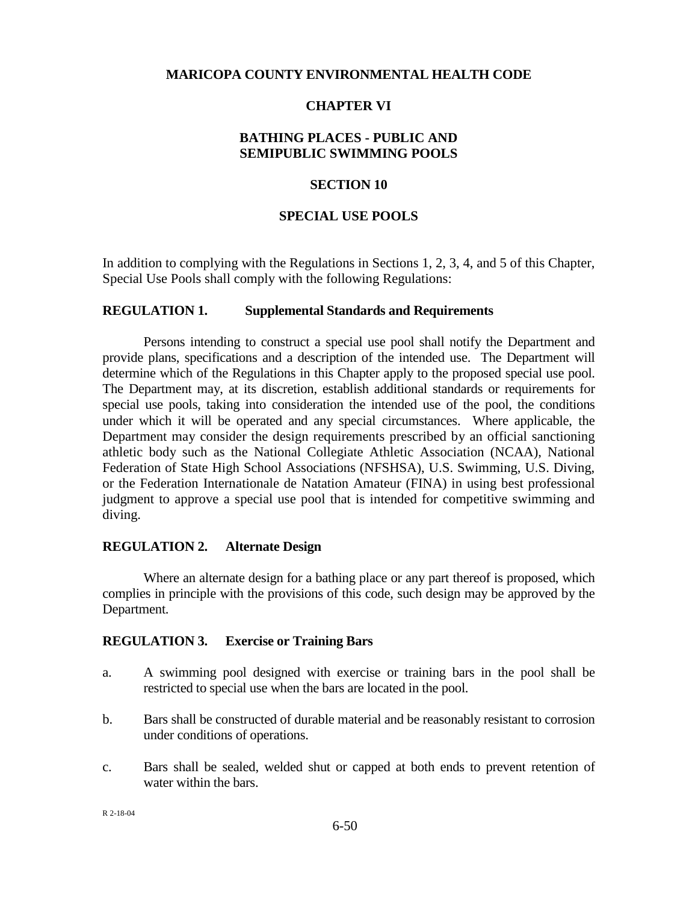## **MARICOPA COUNTY ENVIRONMENTAL HEALTH CODE**

## **CHAPTER VI**

## **BATHING PLACES - PUBLIC AND SEMIPUBLIC SWIMMING POOLS**

### **SECTION 10**

### **SPECIAL USE POOLS**

In addition to complying with the Regulations in Sections 1, 2, 3, 4, and 5 of this Chapter, Special Use Pools shall comply with the following Regulations:

#### **REGULATION 1. Supplemental Standards and Requirements**

Persons intending to construct a special use pool shall notify the Department and provide plans, specifications and a description of the intended use. The Department will determine which of the Regulations in this Chapter apply to the proposed special use pool. The Department may, at its discretion, establish additional standards or requirements for special use pools, taking into consideration the intended use of the pool, the conditions under which it will be operated and any special circumstances. Where applicable, the Department may consider the design requirements prescribed by an official sanctioning athletic body such as the National Collegiate Athletic Association (NCAA), National Federation of State High School Associations (NFSHSA), U.S. Swimming, U.S. Diving, or the Federation Internationale de Natation Amateur (FINA) in using best professional judgment to approve a special use pool that is intended for competitive swimming and diving.

#### **REGULATION 2. Alternate Design**

Where an alternate design for a bathing place or any part thereof is proposed, which complies in principle with the provisions of this code, such design may be approved by the Department.

#### **REGULATION 3. Exercise or Training Bars**

- a. A swimming pool designed with exercise or training bars in the pool shall be restricted to special use when the bars are located in the pool.
- b. Bars shall be constructed of durable material and be reasonably resistant to corrosion under conditions of operations.
- c. Bars shall be sealed, welded shut or capped at both ends to prevent retention of water within the bars.

R 2-18-04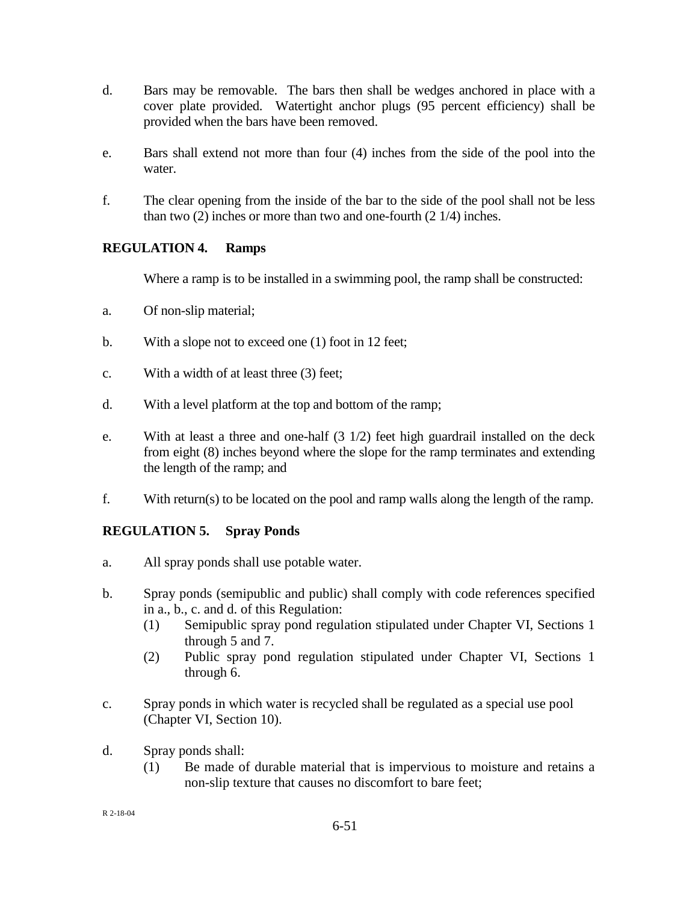- d. Bars may be removable. The bars then shall be wedges anchored in place with a cover plate provided. Watertight anchor plugs (95 percent efficiency) shall be provided when the bars have been removed.
- e. Bars shall extend not more than four (4) inches from the side of the pool into the water.
- f. The clear opening from the inside of the bar to the side of the pool shall not be less than two (2) inches or more than two and one-fourth (2 1/4) inches.

# **REGULATION 4. Ramps**

Where a ramp is to be installed in a swimming pool, the ramp shall be constructed:

- a. Of non-slip material;
- b. With a slope not to exceed one (1) foot in 12 feet;
- c. With a width of at least three (3) feet;
- d. With a level platform at the top and bottom of the ramp;
- e. With at least a three and one-half (3 1/2) feet high guardrail installed on the deck from eight (8) inches beyond where the slope for the ramp terminates and extending the length of the ramp; and
- f. With return(s) to be located on the pool and ramp walls along the length of the ramp.

# **REGULATION 5. Spray Ponds**

- a. All spray ponds shall use potable water.
- b. Spray ponds (semipublic and public) shall comply with code references specified in a., b., c. and d. of this Regulation:
	- (1) Semipublic spray pond regulation stipulated under Chapter VI, Sections 1 through 5 and 7.
	- (2) Public spray pond regulation stipulated under Chapter VI, Sections 1 through 6.
- c. Spray ponds in which water is recycled shall be regulated as a special use pool (Chapter VI, Section 10).
- d. Spray ponds shall:
	- (1) Be made of durable material that is impervious to moisture and retains a non-slip texture that causes no discomfort to bare feet;

R 2-18-04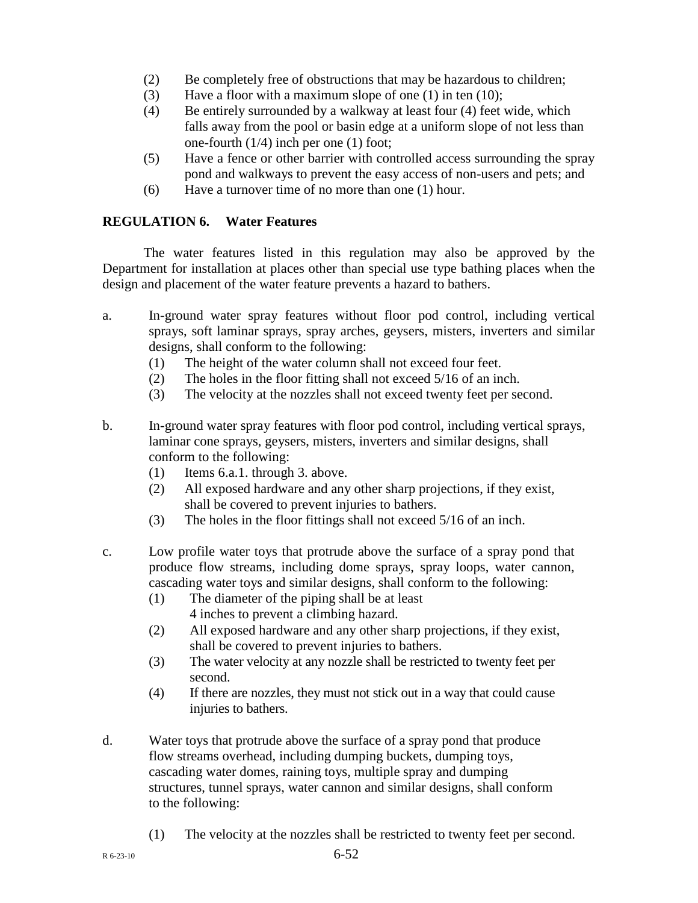- (2) Be completely free of obstructions that may be hazardous to children;
- (3) Have a floor with a maximum slope of one (1) in ten  $(10)$ ;
- (4) Be entirely surrounded by a walkway at least four (4) feet wide, which falls away from the pool or basin edge at a uniform slope of not less than one-fourth (1/4) inch per one (1) foot;
- (5) Have a fence or other barrier with controlled access surrounding the spray pond and walkways to prevent the easy access of non-users and pets; and
- (6) Have a turnover time of no more than one (1) hour.

## **REGULATION 6. Water Features**

The water features listed in this regulation may also be approved by the Department for installation at places other than special use type bathing places when the design and placement of the water feature prevents a hazard to bathers.

- a. In-ground water spray features without floor pod control, including vertical sprays, soft laminar sprays, spray arches, geysers, misters, inverters and similar designs, shall conform to the following:
	- (1) The height of the water column shall not exceed four feet.
	- (2) The holes in the floor fitting shall not exceed 5/16 of an inch.
	- (3) The velocity at the nozzles shall not exceed twenty feet per second.
- b. In-ground water spray features with floor pod control, including vertical sprays, laminar cone sprays, geysers, misters, inverters and similar designs, shall conform to the following:
	- (1) Items 6.a.1. through 3. above.
	- (2) All exposed hardware and any other sharp projections, if they exist, shall be covered to prevent injuries to bathers.
	- (3) The holes in the floor fittings shall not exceed 5/16 of an inch.
- c. Low profile water toys that protrude above the surface of a spray pond that produce flow streams, including dome sprays, spray loops, water cannon, cascading water toys and similar designs, shall conform to the following:
	- (1) The diameter of the piping shall be at least
	- 4 inches to prevent a climbing hazard.
	- (2) All exposed hardware and any other sharp projections, if they exist, shall be covered to prevent injuries to bathers.
	- (3) The water velocity at any nozzle shall be restricted to twenty feet per second.
	- (4) If there are nozzles, they must not stick out in a way that could cause injuries to bathers.
- d. Water toys that protrude above the surface of a spray pond that produce flow streams overhead, including dumping buckets, dumping toys, cascading water domes, raining toys, multiple spray and dumping structures, tunnel sprays, water cannon and similar designs, shall conform to the following:
	- (1) The velocity at the nozzles shall be restricted to twenty feet per second.